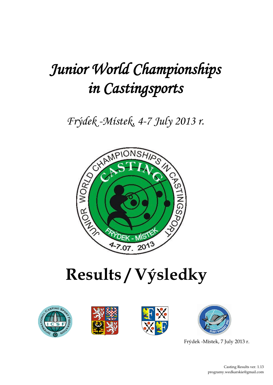

# **Results / Výsledky**









Frýdek -Místek, 7 July 2013 r.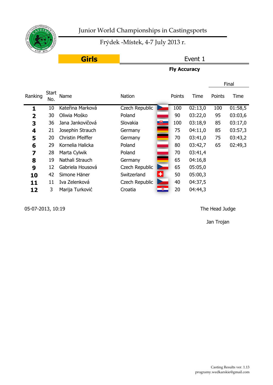

# Frýdek -Místek, 4-7 July 2013 r.

# **Girls**

# Event 1

## **Fly Accuracy**

|                         |              |                   |                  |        |         |        | Final   |
|-------------------------|--------------|-------------------|------------------|--------|---------|--------|---------|
| Ranking                 | Start<br>No. | Name              | <b>Nation</b>    | Points | Time    | Points | Time    |
| 1                       | 10           | Kateřina Marková  | Czech Republic   | 100    | 02:13,0 | 100    | 01:58,5 |
| $\overline{\mathbf{2}}$ | 30           | Oliwia Mośko      | Poland           | 90     | 03:22,0 | 95     | 03:03,6 |
| 3                       | 36           | Jana Jankovičová  | 一脚<br>Slovakia   | 100    | 03:18,9 | 85     | 03:17,0 |
| 4                       | 21           | Josephin Strauch  | Germany          | 75     | 04:11,0 | 85     | 03:57,3 |
| 5                       | 20           | Christin Pfeiffer | Germany          | 70     | 03:41,0 | 75     | 03:43,2 |
| 6                       | 29           | Kornelia Halicka  | Poland           | 80     | 03:42,7 | 65     | 02:49,3 |
| 7                       | 28           | Marta Cylwik      | Poland           | 70     | 03:41,4 |        |         |
| 8                       | 19           | Nathali Strauch   | Germany          | 65     | 04:16,8 |        |         |
| 9                       | 12           | Gabriela Housová  | Czech Republic   | 65     | 05:05,0 |        |         |
| 10                      | 42           | Simone Häner      | ᆃ<br>Switzerland | 50     | 05:00,3 |        |         |
| 11                      | 11           | Iva Zelenková     | Czech Republic   | 40     | 04:37,5 |        |         |
| 12                      | 3            | Marija Turković   | 釁<br>Croatia     | 20     | 04:44,3 |        |         |
|                         |              |                   |                  |        |         |        |         |

05-07-2013, 10:19 The Head Judge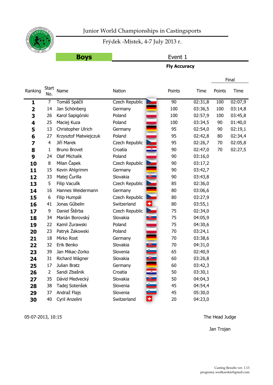

# Frýdek -Místek, 4-7 July 2013 r.

# **Boys**

#### Event 1

**Fly Accuracy**

|                         |                     |                       |                       |                         |                 |         |        | Final   |
|-------------------------|---------------------|-----------------------|-----------------------|-------------------------|-----------------|---------|--------|---------|
| Ranking                 | <b>Start</b><br>No. | Name                  | Nation                |                         | Points          | Time    | Points | Time    |
| $\mathbf{1}$            | $\overline{7}$      | Tomáš Spáčil          | <b>Czech Republic</b> |                         | $\overline{90}$ | 02:31,8 | 100    | 02:07,9 |
| $\overline{\mathbf{2}}$ | 14                  | Jan Schönberg         | Germany               |                         | 100             | 03:36,5 | 100    | 03:14,8 |
| 3                       | 26                  | Karol Sapigórski      | Poland                |                         | 100             | 02:57,9 | 100    | 03:45,8 |
| 4                       | 25                  | Maciej Kuza           | Poland                |                         | 100             | 03:34,5 | 90     | 01:40,0 |
| 5                       | 13                  | Christopher Ulrich    | Germany               |                         | 95              | 02:54,0 | 90     | 02:19,1 |
| 6                       | 27                  | Krzysztof Matwiejczuk | Poland                |                         | 95              | 02:42,8 | 80     | 02:34,4 |
| 7                       | $\overline{4}$      | Jiří Marek            | Czech Republic        |                         | 95              | 02:26,7 | 70     | 02:05,8 |
| 8                       | $\mathbf 1$         | <b>Bruno Brovet</b>   | Croatia               |                         | 90              | 02:47,0 | 70     | 02:27,5 |
| 9                       | 24                  | <b>Olaf Michalik</b>  | Poland                |                         | 90              | 03:16,0 |        |         |
| 10                      | 8                   | Milan Čapek           | Czech Republic        |                         | 90              | 03:17,2 |        |         |
| 11                      | 15                  | Kevin Ahlgrimm        | Germany               |                         | 90              | 03:42,7 |        |         |
| 12                      | 33                  | Matej Čurilla         | Slovakia              | ⊎⊏                      | 90              | 03:43,8 |        |         |
| 13                      | 5                   | Filip Vaculík         | Czech Republic        |                         | 85              | 02:36,0 |        |         |
| 14                      | 16                  | Hannes Weidermann     | Germany               |                         | 80              | 03:06,6 |        |         |
| 15                      | 6                   | Filip Humpál          | Czech Republic        |                         | 80              | 03:27,9 |        |         |
| 16                      | 41                  | Jonas Gűbelin         | Switzerland           | ٠                       | 80              | 03:55,1 |        |         |
| 17                      | 9                   | Daniel Štěrba         | Czech Republic        | E                       | 75              | 02:34,0 |        |         |
| 18                      | 34                  | Marián Borovský       | Slovakia              | $\overline{\mathbf{e}}$ | 75              | 04:05,9 |        |         |
| 19                      | 22                  | Kamil Żurawski        | Poland                |                         | 75              | 04:30,6 |        |         |
| 20                      | 23                  | Patryk Żakowski       | Poland                |                         | 70              | 03:24,1 |        |         |
| 21                      | 18                  | Mirko Rost            | Germany               |                         | 70              | 03:38,6 |        |         |
| 22                      | 32                  | Erik Benko            | Slovakia              |                         | 70              | 04:31,0 |        |         |
| 23                      | 39                  | Jan Mikac-Zorko       | Slovenia              |                         | 65              | 02:40,9 |        |         |
| 24                      | 31                  | Richard Wágner        | Slovakia              |                         | 60              | 03:26,8 |        |         |
| 25                      | 17                  | Julian Bratz          | Germany               |                         | 60              | 03:42,3 |        |         |
| 26                      | $\overline{2}$      | Sandi Zbašnik         | Croatia               |                         | 50              | 03:30,1 |        |         |
| 27                      | 35                  | Dávid Medvecký        | Slovakia              |                         | 50              | 04:04,3 |        |         |
| 28                      | 38                  | Tadej Sotenšek        | Slovenia              |                         | 45              | 04:54,4 |        |         |
| 29                      | 37                  | Andraž Flajs          | Slovenia              |                         | 45              | 05:30,0 |        |         |
| 30                      | 40                  | Cyril Anzelini        | Switzerland           |                         | 20              | 04:23,0 |        |         |

05-07-2013, 10:15 The Head Judge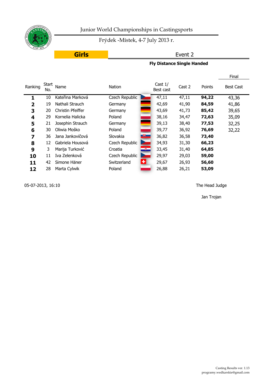

Frýdek -Místek, 4-7 July 2013 r.

# **Girls**

## Event 2

**Fly Distance Single Handed**

|                |              |                   |                |               |                        |        |        | Final            |
|----------------|--------------|-------------------|----------------|---------------|------------------------|--------|--------|------------------|
| Ranking        | Start<br>No. | Name              | Nation         |               | Cast $1/$<br>Best cast | Cast 2 | Points | <b>Best Cast</b> |
| 1              | 10           | Kateřina Marková  | Czech Republic |               | 47,11                  | 47,11  | 94,22  | 43,36            |
| $\overline{2}$ | 19           | Nathali Strauch   | Germany        |               | 42,69                  | 41,90  | 84,59  | 41,86            |
| 3              | 20           | Christin Pfeiffer | Germany        |               | 43,69                  | 41,73  | 85,42  | 39,65            |
| 4              | 29           | Kornelia Halicka  | Poland         |               | 38,16                  | 34,47  | 72,63  | 35,09            |
| 5              | 21           | Josephin Strauch  | Germany        |               | 39,13                  | 38,40  | 77,53  | 32,25            |
| 6              | 30           | Oliwia Mośko      | Poland         |               | 39,77                  | 36,92  | 76,69  | 32,22            |
| 7              | 36           | Jana Jankovičová  | Slovakia       | $\bigoplus$   | 36,82                  | 36,58  | 73,40  |                  |
| 8              | 12           | Gabriela Housová  | Czech Republic |               | 34,93                  | 31,30  | 66,23  |                  |
| 9              | 3            | Marija Turković   | Croatia        | $\frac{m}{2}$ | 33,45                  | 31,40  | 64,85  |                  |
| 10             | 11           | Iva Zelenková     | Czech Republic |               | 29,97                  | 29,03  | 59,00  |                  |
| 11             | 42           | Simone Häner      | Switzerland    | ÷l            | 29,67                  | 26,93  | 56,60  |                  |
| 12             | 28           | Marta Cylwik      | Poland         |               | 26,88                  | 26,21  | 53,09  |                  |

05-07-2013, 16:10 The Head Judge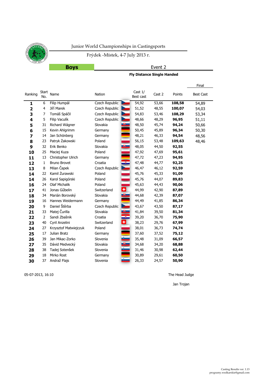Frýdek -Místek, 4-7 July 2013 r.

**Boys**

Event 2

#### **Fly Distance Single Handed**

|                         |                     |                       |                       |                           |                        |        |        | Final            |
|-------------------------|---------------------|-----------------------|-----------------------|---------------------------|------------------------|--------|--------|------------------|
| Ranking                 | <b>Start</b><br>No. | Name                  | Nation                |                           | Cast $1/$<br>Best cast | Cast 2 | Points | <b>Best Cast</b> |
| $\mathbf{1}$            | 6                   | Filip Humpál          | <b>Czech Republic</b> |                           | 54,92                  | 53,66  | 108,58 | 54,89            |
| $\overline{\mathbf{2}}$ | $\overline{4}$      | Jiří Marek            | Czech Republic        |                           | 51,52                  | 48,55  | 100,07 | 54,03            |
| 3                       | 7                   | Tomáš Spáčil          | Czech Republic        |                           | 54,83                  | 53,46  | 108,29 | 53,34            |
| 4                       | 5                   | Filip Vaculík         | Czech Republic        |                           | 48,66                  | 48,29  | 96,95  | 51,11            |
| 5                       | 31                  | Richard Wágner        | Slovakia              | $^{\tiny\textregistered}$ | 48,50                  | 45,74  | 94,24  | 50,66            |
| 6                       | 15                  | Kevin Ahlgrimm        | Germany               |                           | 50,45                  | 45,89  | 96,34  | 50,30            |
| 7                       | 14                  | Jan Schönberg         | Germany               |                           | 48,21                  | 46,33  | 94,54  | 48,56            |
| 8                       | 23                  | Patryk Żakowski       | Poland                |                           | 56,15                  | 53,48  | 109,63 | 48,46            |
| 9                       | 32                  | Erik Benko            | Slovakia              | $\bigoplus$               | 48,05                  | 44,50  | 92,55  |                  |
| 10                      | 25                  | Maciej Kuza           | Poland                |                           | 47,92                  | 47,69  | 95,61  |                  |
| 11                      | 13                  | Christopher Ulrich    | Germany               |                           | 47,72                  | 47,23  | 94,95  |                  |
| 12                      | $\mathbf{1}$        | <b>Bruno Brovet</b>   | Croatia               |                           | 47,48                  | 44,77  | 92,25  |                  |
| 13                      | 8                   | Milan Čapek           | Czech Republic        |                           | 46,47                  | 46,12  | 92,59  |                  |
| 14                      | 22                  | Kamil Żurawski        | Poland                |                           | 45,76                  | 45,33  | 91,09  |                  |
| 14                      | 26                  | Karol Sapigórski      | Poland                |                           | 45,76                  | 44,07  | 89,83  |                  |
| 16                      | 24                  | <b>Olaf Michalik</b>  | Poland                |                           | 45,63                  | 44,43  | 90,06  |                  |
| 17                      | 41                  | Jonas Gűbelin         | Switzerland           | Ø                         | 44,99                  | 42,90  | 87,89  |                  |
| 18                      | 34                  | Marián Borovský       | Slovakia              | $\mathbf{e}$              | 44,68                  | 42,39  | 87,07  |                  |
| 19                      | 16                  | Hannes Weidermann     | Germany               | mar.                      | 44,49                  | 41,85  | 86,34  |                  |
| 20                      | 9                   | Daniel Štěrba         | Czech Republic        |                           | 43,67                  | 43,50  | 87,17  |                  |
| 21                      | 33                  | Matej Čurilla         | Slovakia              | $\bigoplus$               | 41,84                  | 39,50  | 81,34  |                  |
| 22                      | $\overline{2}$      | Sandi Zbašnik         | Croatia               |                           | 39,20                  | 36,70  | 75,90  |                  |
| 23                      | 40                  | Cyril Anzelini        | Switzerland           | Ð                         | 38,23                  | 29,76  | 67,99  |                  |
| 24                      | 27                  | Krzysztof Matwiejczuk | Poland                |                           | 38,01                  | 36,73  | 74,74  |                  |
| 25                      | 17                  | Julian Bratz          | Germany               |                           | 37,60                  | 37,52  | 75,12  |                  |
| 26                      | 39                  | Jan Mikac-Zorko       | Slovenia              | è                         | 35,48                  | 31,09  | 66,57  |                  |
| 27                      | 35                  | Dávid Medvecký        | Slovakia              | $^{\circ}$                | 34,68                  | 34,20  | 68,88  |                  |
| 28                      | 38                  | Tadej Sotenšek        | Slovenia              |                           | 31,46                  | 30,98  | 62,44  |                  |
| 29                      | 18                  | Mirko Rost            | Germany               |                           | 30,89                  | 29,61  | 60,50  |                  |
| 30                      | 37                  | Andraž Flajs          | Slovenia              |                           | 26,33                  | 24,57  | 50,90  |                  |

05-07-2013, 16:10 The Head Judge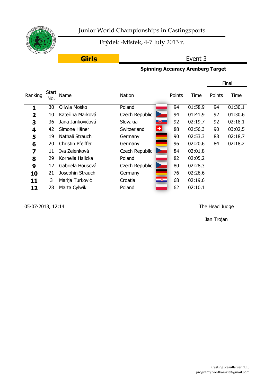

Frýdek -Místek, 4-7 July 2013 r.

# **Girls**

# Event 3

## **Spinning Accuracy Arenberg Target**

|         |              |                   |                                       |        |         |        | Final   |
|---------|--------------|-------------------|---------------------------------------|--------|---------|--------|---------|
| Ranking | Start<br>No. | Name              | Nation                                | Points | Time    | Points | Time    |
| 1       | 30           | Oliwia Mośko      | Poland                                | 94     | 01:58,9 | 94     | 01:30,1 |
| 2       | 10           | Kateřina Marková  | Czech Republic                        | 94     | 01:41,9 | 92     | 01:30,6 |
| 3       | 36           | Jana Jankovičová  | $\mathbb{R}^+$<br>Slovakia            | 92     | 02:19,7 | 92     | 02:18,1 |
| 4       | 42           | Simone Häner      | $\left  \cdot \right $<br>Switzerland | 88     | 02:56,3 | 90     | 03:02,5 |
| 5       | 19           | Nathali Strauch   | Germany                               | 90     | 02:53,3 | 88     | 02:18,7 |
| 6       | 20           | Christin Pfeiffer | Germany                               | 96     | 02:20,6 | 84     | 02:18,2 |
| 7       | 11           | Iva Zelenková     | Czech Republic                        | 84     | 02:01,8 |        |         |
| 8       | 29           | Kornelia Halicka  | Poland                                | 82     | 02:05,2 |        |         |
| 9       | 12           | Gabriela Housová  | Czech Republic                        | 80     | 02:28,3 |        |         |
| 10      | 21           | Josephin Strauch  | Germany                               | 76     | 02:26,6 |        |         |
| 11      | 3            | Marija Turković   | ÷.<br>Croatia                         | 68     | 02:19,6 |        |         |
| 12      | 28           | Marta Cylwik      | Poland                                | 62     | 02:10,1 |        |         |

05-07-2013, 12:14 The Head Judge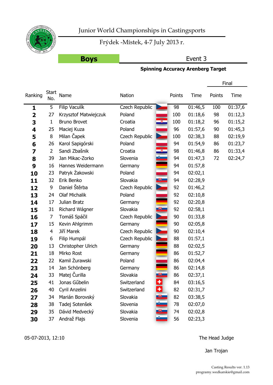

Frýdek -Místek, 4-7 July 2013 r.

# **Boys**

# Event 3

# **Spinning Accuracy Arenberg Target**

|                         |                     |                       |                                     |        |         |        | Final   |
|-------------------------|---------------------|-----------------------|-------------------------------------|--------|---------|--------|---------|
| Ranking                 | <b>Start</b><br>No. | Name                  | Nation                              | Points | Time    | Points | Time    |
| 1                       | 5                   | Filip Vaculik         | Czech Republic                      | 98     | 01:46,5 | 100    | 01:37,6 |
| $\overline{\mathbf{2}}$ | 27                  | Krzysztof Matwiejczuk | Poland                              | 100    | 01:18,6 | 98     | 01:12,3 |
| 3                       | $\mathbf{1}$        | <b>Bruno Brovet</b>   | Croatia                             | 100    | 01:18,2 | 96     | 01:15,2 |
| 4                       | 25                  | Maciej Kuza           | Poland                              | 96     | 01:57,6 | 90     | 01:45,3 |
| 5                       | 8                   | Milan Čapek           | Czech Republic                      | 100    | 02:38,3 | 88     | 02:19,9 |
| 6                       | 26                  | Karol Sapigórski      | Poland                              | 94     | 01:54,9 | 86     | 01:23,7 |
| 7                       | $\overline{2}$      | Sandi Zbašnik         | Ÿ.<br>Croatia                       | 98     | 01:46,8 | 86     | 01:33,4 |
| 8                       | 39                  | Jan Mikac-Zorko       | Slovenia                            | 94     | 01:47,3 | 72     | 02:24,7 |
| 9                       | 16                  | Hannes Weidermann     | Germany                             | 94     | 01:57,8 |        |         |
| 10                      | 23                  | Patryk Żakowski       | Poland                              | 94     | 02:02,1 |        |         |
| 11                      | 32                  | Erik Benko            | Slovakia<br>$+$                     | 94     | 02:28,9 |        |         |
| 12                      | 9                   | Daniel Štěrba         | <b>Czech Republic</b>               | 92     | 01:46,2 |        |         |
| 13                      | 24                  | <b>Olaf Michalik</b>  | Poland                              | 92     | 02:10,8 |        |         |
| 14                      | 17                  | Julian Bratz          | Germany                             | 92     | 02:20,8 |        |         |
| 15                      | 31                  | Richard Wágner        | $+$<br>Slovakia                     | 92     | 02:58,1 |        |         |
| 16                      | 7                   | Tomáš Spáčil          | Czech Republic                      | 90     | 01:33,8 |        |         |
| 17                      | 15                  | Kevin Ahlgrimm        | Germany                             | 90     | 02:05,8 |        |         |
| 18                      | 4                   | Jiří Marek            | Czech Republic                      | 90     | 02:10,4 |        |         |
| 19                      | 6                   | Filip Humpál          | Czech Republic                      | 88     | 01:57,1 |        |         |
| 20                      | 13                  | Christopher Ulrich    | Germany                             | 88     | 02:02,5 |        |         |
| 21                      | 18                  | Mirko Rost            | Germany                             | 86     | 01:52,7 |        |         |
| 22                      | 22                  | Kamil Żurawski        | Poland                              | 86     | 02:04,4 |        |         |
| 23                      | 14                  | Jan Schönberg         | Germany                             | 86     | 02:14,8 |        |         |
| 24                      | 33                  | Matej Čurilla         | $\overline{\mathbf{r}}$<br>Slovakia | 86     | 02:37,1 |        |         |
| 25                      | 41                  | Jonas Gűbelin         | $\left. + \right $<br>Switzerland   | 84     | 03:16,5 |        |         |
| 26                      | 40                  | Cyril Anzelini        | ᆂ<br>Switzerland                    | 82     | 02:31,7 |        |         |
| 27                      | 34                  | Marián Borovský       | Slovakia<br>$\mathbb{R}^3$          | 82     | 03:38,5 |        |         |
| 28                      | 38                  | Tadej Sotenšek        | Slovenia                            | 78     | 02:07,0 |        |         |
| 29                      | 35                  | Dávid Medvecký        | Slovakia                            | 74     | 02:02,8 |        |         |
| 30                      | 37                  | Andraž Flajs          | Slovenia                            | 56     | 02:23,3 |        |         |

05-07-2013, 12:10 The Head Judge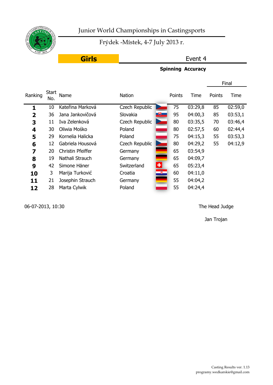

Frýdek -Místek, 4-7 July 2013 r.

# **Girls**

#### Event 4

### **Spinning Accuracy**

|                         |                     |                   |                  |    |        |         |        | Final   |
|-------------------------|---------------------|-------------------|------------------|----|--------|---------|--------|---------|
| Ranking                 | <b>Start</b><br>No. | Name              | <b>Nation</b>    |    | Points | Time    | Points | Time    |
| 1                       | 10                  | Kateřina Marková  | Czech Republic   |    | 75     | 03:29,8 | 85     | 02:59,0 |
| $\overline{\mathbf{2}}$ | 36                  | Jana Jankovičová  | 电<br>Slovakia    |    | 95     | 04:00,3 | 85     | 03:53,1 |
| 3                       | 11                  | Iva Zelenková     | Czech Republic   |    | 80     | 03:35,5 | 70     | 03:46,4 |
| 4                       | 30                  | Oliwia Mośko      | Poland           |    | 80     | 02:57,5 | 60     | 02:44,4 |
| 5                       | 29                  | Kornelia Halicka  | Poland           |    | 75     | 04:15,3 | 55     | 03:53,3 |
| 6                       | 12                  | Gabriela Housová  | Czech Republic   |    | 80     | 04:29,2 | 55     | 04:12,9 |
| 7                       | 20                  | Christin Pfeiffer | Germany          |    | 65     | 03:54,9 |        |         |
| 8                       | 19                  | Nathali Strauch   | Germany          |    | 65     | 04:09,7 |        |         |
| 9                       | 42                  | Simone Häner      | ᆃ<br>Switzerland |    | 65     | 05:23,4 |        |         |
| 10                      | 3                   | Marija Turković   | Croatia          | œ, | 60     | 04:11,0 |        |         |
| 11                      | 21                  | Josephin Strauch  | Germany          |    | 55     | 04:04,2 |        |         |
| 12                      | 28                  | Marta Cylwik      | Poland           |    | 55     | 04:24,4 |        |         |
|                         |                     |                   |                  |    |        |         |        |         |

06-07-2013, 10:30 The Head Judge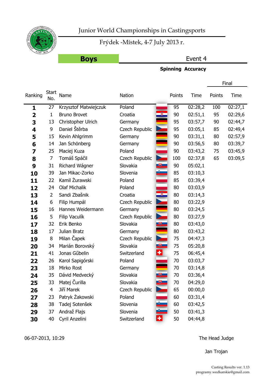

Frýdek -Místek, 4-7 July 2013 r.

# **Boys**

#### Event 4

#### **Spinning Accuracy**

|                         |                     |                       |                |                           |        |         |        | Final   |
|-------------------------|---------------------|-----------------------|----------------|---------------------------|--------|---------|--------|---------|
| Ranking                 | <b>Start</b><br>No. | Name                  | Nation         |                           | Points | Time    | Points | Time    |
| 1                       | 27                  | Krzysztof Matwiejczuk | Poland         |                           | 95     | 02:28,2 | 100    | 02:27,1 |
| $\overline{\mathbf{2}}$ | $\mathbf{1}$        | <b>Bruno Brovet</b>   | Croatia        |                           | 90     | 02:51,1 | 95     | 02:29,6 |
| 3                       | 13                  | Christopher Ulrich    | Germany        |                           | 95     | 03:57,7 | 90     | 02:44,7 |
| 4                       | 9                   | Daniel Štěrba         | Czech Republic |                           | 95     | 03:05,1 | 85     | 02:49,4 |
| 5                       | 15                  | Kevin Ahlgrimm        | Germany        |                           | 90     | 03:31,1 | 80     | 02:57,9 |
| 6                       | 14                  | Jan Schönberg         | Germany        |                           | 90     | 03:56,5 | 80     | 03:39,7 |
| 7                       | 25                  | Maciej Kuza           | Poland         |                           | 90     | 03:43,2 | 75     | 03:45,9 |
| 8                       | 7                   | Tomáš Spáčil          | Czech Republic |                           | 100    | 02:37,8 | 65     | 03:09,5 |
| 9                       | 31                  | Richard Wágner        | Slovakia       | $\overline{\mathbf{r}}$   | 90     | 05:02,1 |        |         |
| 10                      | 39                  | Jan Mikac-Zorko       | Slovenia       |                           | 85     | 03:10,3 |        |         |
| 11                      | 22                  | Kamil Żurawski        | Poland         |                           | 85     | 03:39,4 |        |         |
| 12                      | 24                  | <b>Olaf Michalik</b>  | Poland         |                           | 80     | 03:03,9 |        |         |
| 13                      | $\overline{2}$      | Sandi Zbašnik         | Croatia        | 7                         | 80     | 03:14,3 |        |         |
| 14                      | 6                   | Filip Humpál          | Czech Republic |                           | 80     | 03:22,9 |        |         |
| 15                      | 16                  | Hannes Weidermann     | Germany        |                           | 80     | 03:24,5 |        |         |
| 16                      | 5                   | Filip Vaculík         | Czech Republic | <b>Service</b>            | 80     | 03:27,9 |        |         |
| 17                      | 32                  | Erik Benko            | Slovakia       | $\biguplus$               | 80     | 03:43,0 |        |         |
| 18                      | 17                  | Julian Bratz          | Germany        |                           | 80     | 03:43,2 |        |         |
| 19                      | 8                   | Milan Čapek           | Czech Republic | <b>Septiment</b>          | 75     | 04:47,3 |        |         |
| 20                      | 34                  | Marián Borovský       | Slovakia       | $+$                       | 75     | 05:20,8 |        |         |
| 21                      | 41                  | Jonas Gűbelin         | Switzerland    | ᆃ                         | 75     | 06:45,4 |        |         |
| 22                      | 26                  | Karol Sapigórski      | Poland         |                           | 70     | 03:03,7 |        |         |
| 23                      | 18                  | Mirko Rost            | Germany        |                           | 70     | 03:14,8 |        |         |
| 24                      | 35                  | Dávid Medvecký        | Slovakia       | $\overline{\mathfrak{g}}$ | 70     | 03:36,4 |        |         |
| 25                      | 33                  | Matej Čurilla         | Slovakia       | 「史」                       | 70     | 04:29,0 |        |         |
| 26                      | 4                   | Jiří Marek            | Czech Republic |                           | 65     | 00:00,0 |        |         |
| 27                      | 23                  | Patryk Żakowski       | Poland         |                           | 60     | 03:31,4 |        |         |
| 28                      | 38                  | Tadej Sotenšek        | Slovenia       | i<br>S                    | 60     | 03:42,5 |        |         |
| 29                      | 37                  | Andraž Flajs          | Slovenia       |                           | 50     | 03:41,3 |        |         |
| 30                      | 40                  | Cyril Anzelini        | Switzerland    |                           | 50     | 04:44,8 |        |         |

06-07-2013, 10:29 The Head Judge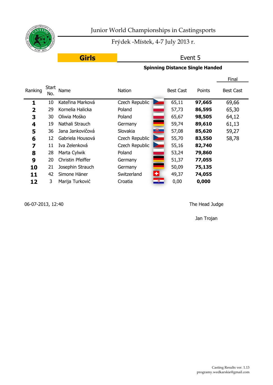

Frýdek -Místek, 4-7 July 2013 r.

Event 5

**Girls**

#### **Spinning Distance Single Handed**

|              |                     |                   |                                        |                  |        | Final            |
|--------------|---------------------|-------------------|----------------------------------------|------------------|--------|------------------|
| Ranking      | <b>Start</b><br>No. | Name              | <b>Nation</b>                          | <b>Best Cast</b> | Points | <b>Best Cast</b> |
| 1            | 10                  | Kateřina Marková  | Czech Republic                         | 65,11            | 97,665 | 69,66            |
| $\mathbf{2}$ | 29                  | Kornelia Halicka  | Poland                                 | 57,73            | 86,595 | 65,30            |
| 3            | 30                  | Oliwia Mośko      | Poland                                 | 65,67            | 98,505 | 64,12            |
| 4            | 19                  | Nathali Strauch   | Germany                                | 59,74            | 89,610 | 61,13            |
| 5            | 36                  | Jana Jankovičová  | 曳<br>Slovakia                          | 57,08            | 85,620 | 59,27            |
| 6            | 12                  | Gabriela Housová  | Czech Republic                         | 55,70            | 83,550 | 58,78            |
| 7            | 11                  | Iva Zelenková     | Czech Republic                         | 55,16            | 82,740 |                  |
| 8            | 28                  | Marta Cylwik      | Poland                                 | 53,24            | 79,860 |                  |
| 9            | 20                  | Christin Pfeiffer | Germany                                | 51,37            | 77,055 |                  |
| 10           | 21                  | Josephin Strauch  | Germany                                | 50,09            | 75,135 |                  |
| 11           | 42                  | Simone Häner      | 케<br>Switzerland                       | 49,37            | 74,055 |                  |
| 12           | 3                   | Marija Turković   | $\mathcal{B}_{\mathcal{A}}$<br>Croatia | 0,00             | 0,000  |                  |

06-07-2013, 12:40 The Head Judge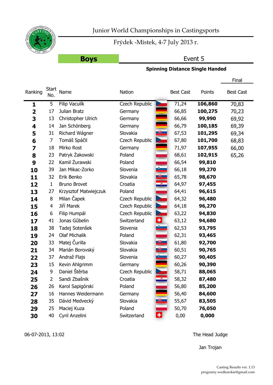

Frýdek -Místek, 4-7 July 2013 r.

# **Boys**

# Event 5

#### **Spinning Distance Single Handed**

|         |                     |                       |                |                         |                  |         | Final            |
|---------|---------------------|-----------------------|----------------|-------------------------|------------------|---------|------------------|
| Ranking | <b>Start</b><br>No. | Name                  | Nation         |                         | <b>Best Cast</b> | Points  | <b>Best Cast</b> |
| 1       | 5                   | Filip Vaculík         | Czech Republic |                         | 71,24            | 106,860 | 70,83            |
| 2       | 17                  | Julian Bratz          | Germany        |                         | 66,85            | 100,275 | 70,23            |
| 3       | 13                  | Christopher Ulrich    | Germany        |                         | 66,66            | 99,990  | 69,92            |
| 4       | 14                  | Jan Schönberg         | Germany        |                         | 66,79            | 100,185 | 69,39            |
| 5       | 31                  | Richard Wágner        | Slovakia       | $+$                     | 67,53            | 101,295 | 69,34            |
| 6       | 7                   | Tomáš Spáčil          | Czech Republic |                         | 67,80            | 101,700 | 68,83            |
| 7       | 18                  | Mirko Rost            | Germany        |                         | 71,97            | 107,955 | 66,00            |
| 8       | 23                  | Patryk Żakowski       | Poland         |                         | 68,61            | 102,915 | 65,26            |
| 9       | 22                  | Kamil Żurawski        | Poland         |                         | 66,54            | 99,810  |                  |
| 10      | 39                  | Jan Mikac-Zorko       | Slovenia       |                         | 66,18            | 99,270  |                  |
| 11      | 32                  | Erik Benko            | Slovakia       | $\overline{\mathbf{F}}$ | 65,78            | 98,670  |                  |
| 12      | $\mathbf{1}$        | <b>Bruno Brovet</b>   | Croatia        |                         | 64,97            | 97,455  |                  |
| 13      | 27                  | Krzysztof Matwiejczuk | Poland         |                         | 64,41            | 96,615  |                  |
| 14      | 8                   | Milan Čapek           | Czech Republic |                         | 64,32            | 96,480  |                  |
| 15      | 4                   | Jiří Marek            | Czech Republic |                         | 64,18            | 96,270  |                  |
| 16      | 6                   | Filip Humpál          | Czech Republic | <b>Rea</b>              | 63,22            | 94,830  |                  |
| 17      | 41                  | Jonas Gűbelin         | Switzerland    | $\pm$                   | 63,12            | 94,680  |                  |
| 18      | 38                  | Tadej Sotenšek        | Slovenia       |                         | 62,53            | 93,795  |                  |
| 19      | 24                  | <b>Olaf Michalik</b>  | Poland         |                         | 62,31            | 93,465  |                  |
| 20      | 33                  | Matej Čurilla         | Slovakia       | $\bigoplus$             | 61,80            | 92,700  |                  |
| 21      | 34                  | Marián Borovský       | Slovakia       | $\bigoplus$             | 60,51            | 90,765  |                  |
| 22      | 37                  | Andraž Flajs          | Slovenia       |                         | 60,27            | 90,405  |                  |
| 23      | 15                  | Kevin Ahlgrimm        | Germany        |                         | 60,26            | 90,390  |                  |
| 24      | 9                   | Daniel Štěrba         | Czech Republic |                         | 58,71            | 88,065  |                  |
| 25      | 2                   | Sandi Zbašnik         | Croatia        |                         | 58,32            | 87,480  |                  |
| 26      | 26                  | Karol Sapigórski      | Poland         |                         | 56,80            | 85,200  |                  |
| 27      | 16                  | Hannes Weidermann     | Germany        |                         | 56,40            | 84,600  |                  |
| 28      | 35                  | Dávid Medvecký        | Slovakia       | $\bullet$               | 55,67            | 83,505  |                  |
| 29      | 25                  | Maciej Kuza           | Poland         |                         | 50,70            | 76,050  |                  |
| 30      | 40                  | Cyril Anzelini        | Switzerland    | $\vert \cdot \vert$     | 0,00             | 0,000   |                  |

06-07-2013, 13:02 The Head Judge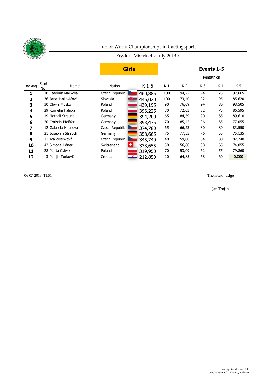

#### Frýdek -Místek, 4-7 July 2013 r.

|              |                      |                                    | <b>Girls</b> |                |       |                | Events 1-5 |        |
|--------------|----------------------|------------------------------------|--------------|----------------|-------|----------------|------------|--------|
|              |                      |                                    |              |                |       |                | Pentathlon |        |
| Ranking      | Start<br>Name<br>No. | Nation                             | $K1-5$       | K <sub>1</sub> | K 2   | K <sub>3</sub> | K4         | K 5    |
|              | 10 Kateřina Marková  | Czech Republic                     | 460,885      | 100            | 94,22 | 94             | 75         | 97,665 |
| $\mathbf{2}$ | 36 Jana Jankovičová  | ा€<br>Slovakia                     | 446,020      | 100            | 73,40 | 92             | 95         | 85,620 |
| 3            | 30 Oliwia Mośko      | Poland                             | 439,195      | 90             | 76,69 | 94             | 80         | 98,505 |
| 4            | 29 Kornelia Halicka  | Poland                             | 396,225      | 80             | 72,63 | 82             | 75         | 86,595 |
| 5            | 19 Nathali Strauch   | Germany                            | 394,200      | 65             | 84,59 | 90             | 65         | 89,610 |
| 6            | 20 Christin Pfeiffer | Germany                            | 393,475      | 70             | 85,42 | 96             | 65         | 77,055 |
| 7            | 12 Gabriela Housová  | Czech Republic                     | 374,780      | 65             | 66,23 | 80             | 80         | 83,550 |
| 8            | 21 Josephin Strauch  | Germany                            | 358,665      | 75             | 77,53 | 76             | 55         | 75,135 |
| 9            | 11 Iva Zelenková     | Czech Republic                     | 345,740      | 40             | 59,00 | 84             | 80         | 82,740 |
| 10           | 42 Simone Häner      | l÷.<br>Switzerland                 | 333,655      | 50             | 56,60 | 88             | 65         | 74,055 |
| 11           | 28 Marta Cylwik      | Poland                             | 319,950      | 70             | 53,09 | 62             | 55         | 79,860 |
| 12           | 3 Marija Turković    | $\overline{\mathbf{z}}$<br>Croatia | 212,850      | 20             | 64,85 | 68             | 60         | 0,000  |

06-07-2013, 11:51 The Head Judge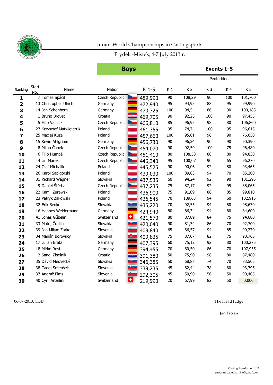

# Frýdek -Místek, 4-7 July 2013 r.

**Boys Events 1-5**

|                |                             |                                      |         |                | Pentathlon     |                |     |                |
|----------------|-----------------------------|--------------------------------------|---------|----------------|----------------|----------------|-----|----------------|
| Ranking        | <b>Start</b><br>Name<br>No. | Nation                               | $K1-5$  | K <sub>1</sub> | K <sub>2</sub> | K <sub>3</sub> | K4  | K <sub>5</sub> |
| $\mathbf{1}$   | 7 Tomáš Spáčil              | Czech Republic                       | 489,990 | 90             | 108,29         | 90             | 100 | 101,700        |
| $\overline{2}$ | 13 Christopher Ulrich       | Germany                              | 472,940 | 95             | 94,95          | 88             | 95  | 99,990         |
| 3              | 14 Jan Schönberg            | Germany                              | 470,725 | 100            | 94,54          | 86             | 90  | 100,185        |
| 4              | 1 Bruno Brovet              | Croatia                              | 469,705 | $90\,$         | 92,25          | 100            | 90  | 97,455         |
| 5              | 5 Filip Vaculík             | Czech Republic                       | 466,810 | 85             | 96,95          | 98             | 80  | 106,860        |
| 6              | 27 Krzysztof Matwiejczuk    | Poland                               | 461,355 | 95             | 74,74          | 100            | 95  | 96,615         |
| 7              | 25 Maciej Kuza              | Poland                               | 457,660 | 100            | 95,61          | 96             | 90  | 76,050         |
| 8              | 15 Kevin Ahlgrimm           | Germany                              | 456,730 | 90             | 96,34          | 90             | 90  | 90,390         |
| 9              | 8 Milan Čapek               | Czech Republic                       | 454,070 | 90             | 92,59          | 100            | 75  | 96,480         |
| 10             | 6 Filip Humpál              | Czech Republic                       | 451,410 | 80             | 108,58         | 88             | 80  | 94,830         |
| 11             | 4 Jiří Marek                | Czech Republic                       | 446,340 | 95             | 100,07         | 90             | 65  | 96,270         |
| 12             | 24 Olaf Michalik            | Poland                               | 445,525 | 90             | 90,06          | 92             | 80  | 93,465         |
| 13             | 26 Karol Sapigórski         | Poland                               | 439,030 | 100            | 89,83          | 94             | 70  | 85,200         |
| 14             | 31 Richard Wágner           | Slovakia                             | 437,535 | 60             | 94,24          | 92             | 90  | 101,295        |
| 15             | 9 Daniel Štěrba             | Czech Republic<br><b>Designation</b> | 437,235 | 75             | 87,17          | 92             | 95  | 88,065         |
| 16             | 22 Kamil Żurawski           | Poland                               | 436,900 | 75             | 91,09          | 86             | 85  | 99,810         |
| 17             | 23 Patryk Żakowski          | Poland                               | 436,545 | 70             | 109,63         | 94             | 60  | 102,915        |
| 18             | 32 Erik Benko               | Slovakia<br>्∌                       | 435,220 | 70             | 92,55          | 94             | 80  | 98,670         |
| 19             | 16 Hannes Weidermann        | Germany                              | 424,940 | 80             | 86,34          | 94             | 80  | 84,600         |
| 20             | 41 Jonas Gűbelin            | ±<br>Switzerland                     | 421,570 | 80             | 87,89          | 84             | 75  | 94,680         |
| 21             | 33 Matej Čurilla            | Slovakia<br><b>飞</b>                 | 420,040 | 90             | 81,34          | 86             | 70  | 92,700         |
| 22             | 39 Jan Mikac-Zorko          | Slovenia                             | 409,840 | 65             | 66,57          | 94             | 85  | 99,270         |
| 23             | 34 Marián Borovský          | Slovakia<br>$\overline{\mathbf{e}}$  | 409,835 | 75             | 87,07          | 82             | 75  | 90,765         |
| 24             | 17 Julian Bratz             | Germany                              | 407,395 | 60             | 75,12          | 92             | 80  | 100,275        |
| 25             | 18 Mirko Rost               | Germany                              | 394,455 | 70             | 60,50          | 86             | 70  | 107,955        |
| 26             | 2 Sandi Zbašnik             | Croatia                              | 391,380 | 50             | 75,90          | 98             | 80  | 87,480         |
| 27             | 35 Dávid Medvecký           | Slovakia                             | 346,385 | 50             | 68,88          | 74             | 70  | 83,505         |
| 28             | 38 Tadej Sotenšek           | Slovenia                             | 339,235 | 45             | 62,44          | 78             | 60  | 93,795         |
| 29             | 37 Andraž Flajs             | Slovenia                             | 292,305 | 45             | 50,90          | 56             | 50  | 90,405         |
| 30             | 40 Cyril Anzelini           | ٠<br>Switzerland                     | 219,990 | 20             | 67,99          | 82             | 50  | 0,000          |

06-07-2013, 11:47 The Head Judge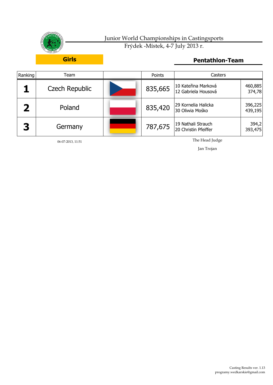

| Ranking | Feam.                 | Points  | Casters                                    |                    |
|---------|-----------------------|---------|--------------------------------------------|--------------------|
|         | <b>Czech Republic</b> | 835,665 | 10 Kateřina Marková<br>12 Gabriela Housová | 460,885<br>374,78  |
|         | Poland                | 835,420 | 29 Kornelia Halicka<br>30 Oliwia Mośko     | 396,225<br>439,195 |
| 3       | Germany               | 787,675 | 19 Nathali Strauch<br>20 Christin Pfeiffer | 394,2<br>393,475   |

06-07-2013, 11:51

The Head Judge